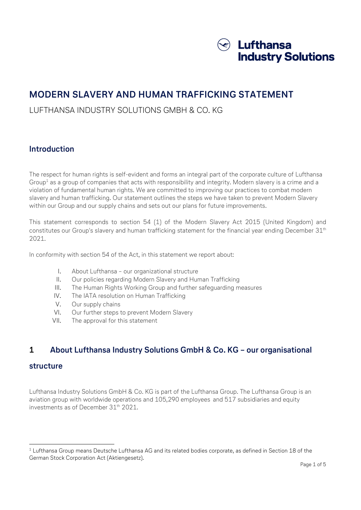

# MODERN SLAVERY AND HUMAN TRAFFICKING STATEMENT

## LUFTHANSA INDUSTRY SOLUTIONS GMBH & CO. KG

### Introduction

The respect for human rights is self-evident and forms an integral part of the corporate culture of Lufthansa Group $^{\rm 1}$  as a group of companies that acts with responsibility and integrity. Modern slavery is a crime and a violation of fundamental human rights. We are committed to improving our practices to combat modern slavery and human trafficking. Our statement outlines the steps we have taken to prevent Modern Slavery within our Group and our supply chains and sets out our plans for future improvements.

This statement corresponds to section 54 (1) of the Modern Slavery Act 2015 (United Kingdom) and constitutes our Group's slavery and human trafficking statement for the financial year ending December 31<sup>th</sup> 2021.

In conformity with section 54 of the Act, in this statement we report about:

- I. About Lufthansa our organizational structure
- II. Our policies regarding Modern Slavery and Human Trafficking
- III. The Human Rights Working Group and further safeguarding measures
- IV. The IATA resolution on Human Trafficking
- V. Our supply chains
- VI. Our further steps to prevent Modern Slavery
- VII. The approval for this statement

### 1 About Lufthansa Industry Solutions GmbH & Co. KG – our organisational

### structure

-

Lufthansa Industry Solutions GmbH & Co. KG is part of the Lufthansa Group. The Lufthansa Group is an aviation group with worldwide operations and 105,290 employees and 517 subsidiaries and equity investments as of December 31<sup>th</sup> 2021.

 $^{\rm 1}$  Lufthansa Group means Deutsche Lufthansa AG and its related bodies corporate, as defined in Section 18 of the German Stock Corporation Act (Aktiengesetz).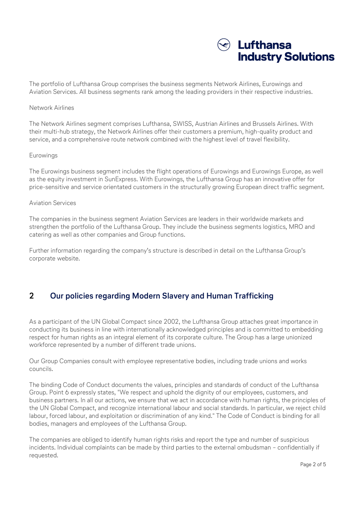

The portfolio of Lufthansa Group comprises the business segments Network Airlines, Eurowings and Aviation Services. All business segments rank among the leading providers in their respective industries.

#### Network Airlines

The Network Airlines segment comprises Lufthansa, SWISS, Austrian Airlines and Brussels Airlines. With their multi-hub strategy, the Network Airlines offer their customers a premium, high-quality product and service, and a comprehensive route network combined with the highest level of travel flexibility.

#### Eurowings

The Eurowings business segment includes the flight operations of Eurowings and Eurowings Europe, as well as the equity investment in SunExpress. With Eurowings, the Lufthansa Group has an innovative offer for price-sensitive and service orientated customers in the structurally growing European direct traffic segment.

#### Aviation Services

The companies in the business segment Aviation Services are leaders in their worldwide markets and strengthen the portfolio of the Lufthansa Group. They include the business segments logistics, MRO and catering as well as other companies and Group functions.

Further information regarding the company's structure is described in detail on the Lufthansa Group's corporate website.

### 2 Our policies regarding Modern Slavery and Human Trafficking

As a participant of the UN Global Compact since 2002, the Lufthansa Group attaches great importance in conducting its business in line with internationally acknowledged principles and is committed to embedding respect for human rights as an integral element of its corporate culture. The Group has a large unionized workforce represented by a number of different trade unions.

Our Group Companies consult with employee representative bodies, including trade unions and works councils.

The binding Code of Conduct documents the values, principles and standards of conduct of the Lufthansa Group. Point 6 expressly states, "We respect and uphold the dignity of our employees, customers, and business partners. In all our actions, we ensure that we act in accordance with human rights, the principles of the UN Global Compact, and recognize international labour and social standards. In particular, we reject child labour, forced labour, and exploitation or discrimination of any kind." The Code of Conduct is binding for all bodies, managers and employees of the Lufthansa Group.

The companies are obliged to identify human rights risks and report the type and number of suspicious incidents. Individual complaints can be made by third parties to the external ombudsman – confidentially if requested.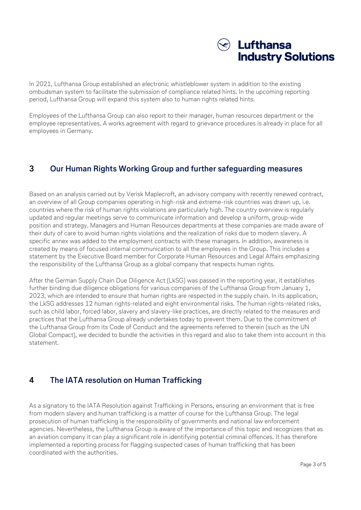

In 2021, Lufthansa Group established an electronic whistleblower system in addition to the existing ombudsman system to facilitate the submission of compliance related hints. In the upcoming reporting period, Lufthansa Group will expand this system also to human rights related hints.

Employees of the Lufthansa Group can also report to their manager, human resources department or the employee representatives. A works agreement with regard to grievance procedures is already in place for all employees in Germany.

### 3 Our Human Rights Working Group and further safeguarding measures

Based on an analysis carried out by Verisk Maplecroft, an advisory company with recently renewed contract, an overview of all Group companies operating in high-risk and extreme-risk countries was drawn up, i.e. countries where the risk of human rights violations are particularly high. The country overview is regularly updated and regular meetings serve to communicate information and develop a uniform, group-wide position and strategy. Managers and Human Resources departments at these companies are made aware of their duty of care to avoid human rights violations and the realization of risks due to modern slavery. A specific annex was added to the employment contracts with these managers. In addition, awareness is created by means of focused internal communication to all the employees in the Group. This includes a statement by the Executive Board member for Corporate Human Resources and Legal Affairs emphasizing the responsibility of the Lufthansa Group as a global company that respects human rights.

After the German Supply Chain Due Diligence Act (LkSG) was passed in the reporting year, it establishes further binding due diligence obligations for various companies of the Lufthansa Group from January 1, 2023, which are intended to ensure that human rights are respected in the supply chain. In its application, the LkSG addresses 12 human rights-related and eight environmental risks. The human rights-related risks, such as child labor, forced labor, slavery and slavery-like practices, are directly related to the measures and practices that the Lufthansa Group already undertakes today to prevent them. Due to the commitment of the Lufthansa Group from its Code of Conduct and the agreements referred to therein (such as the UN Global Compact), we decided to bundle the activities in this regard and also to take them into account in this statement.

### 4 The IATA resolution on Human Trafficking

As a signatory to the IATA Resolution against Trafficking in Persons, ensuring an environment that is free from modern slavery and human trafficking is a matter of course for the Lufthansa Group. The legal prosecution of human trafficking is the responsibility of governments and national law enforcement agencies. Nevertheless, the Lufthansa Group is aware of the importance of this topic and recognizes that as an aviation company it can play a significant role in identifying potential criminal offences. It has therefore implemented a reporting process for flagging suspected cases of human trafficking that has been coordinated with the authorities.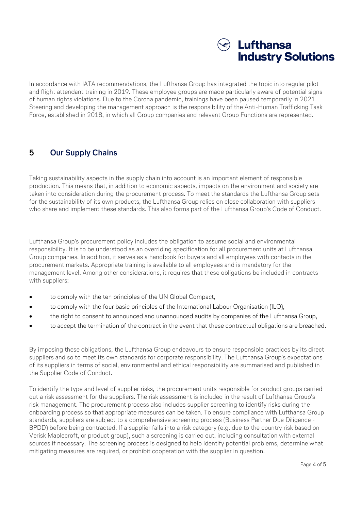

In accordance with IATA recommendations, the Lufthansa Group has integrated the topic into regular pilot and flight attendant training in 2019. These employee groups are made particularly aware of potential signs of human rights violations. Due to the Corona pandemic, trainings have been paused temporarily in 2021 Steering and developing the management approach is the responsibility of the Anti-Human Trafficking Task Force, established in 2018, in which all Group companies and relevant Group Functions are represented.

### 5 Our Supply Chains

Taking sustainability aspects in the supply chain into account is an important element of responsible production. This means that, in addition to economic aspects, impacts on the environment and society are taken into consideration during the procurement process. To meet the standards the Lufthansa Group sets for the sustainability of its own products, the Lufthansa Group relies on close collaboration with suppliers who share and implement these standards. This also forms part of the Lufthansa Group's Code of Conduct.

Lufthansa Group's procurement policy includes the obligation to assume social and environmental responsibility. It is to be understood as an overriding specification for all procurement units at Lufthansa Group companies. In addition, it serves as a handbook for buyers and all employees with contacts in the procurement markets. Appropriate training is available to all employees and is mandatory for the management level. Among other considerations, it requires that these obligations be included in contracts with suppliers:

- to comply with the ten principles of the UN Global Compact,
- to comply with the four basic principles of the International Labour Organisation (ILO),
- the right to consent to announced and unannounced audits by companies of the Lufthansa Group,
- to accept the termination of the contract in the event that these contractual obligations are breached.

By imposing these obligations, the Lufthansa Group endeavours to ensure responsible practices by its direct suppliers and so to meet its own standards for corporate responsibility. The Lufthansa Group's expectations of its suppliers in terms of social, environmental and ethical responsibility are summarised and published in the Supplier Code of Conduct.

To identify the type and level of supplier risks, the procurement units responsible for product groups carried out a risk assessment for the suppliers. The risk assessment is included in the result of Lufthansa Group's risk management. The procurement process also includes supplier screening to identify risks during the onboarding process so that appropriate measures can be taken. To ensure compliance with Lufthansa Group standards, suppliers are subject to a comprehensive screening process (Business Partner Due Diligence - BPDD) before being contracted. If a supplier falls into a risk category (e.g. due to the country risk based on Verisk Maplecroft, or product group), such a screening is carried out, including consultation with external sources if necessary. The screening process is designed to help identify potential problems, determine what mitigating measures are required, or prohibit cooperation with the supplier in question.